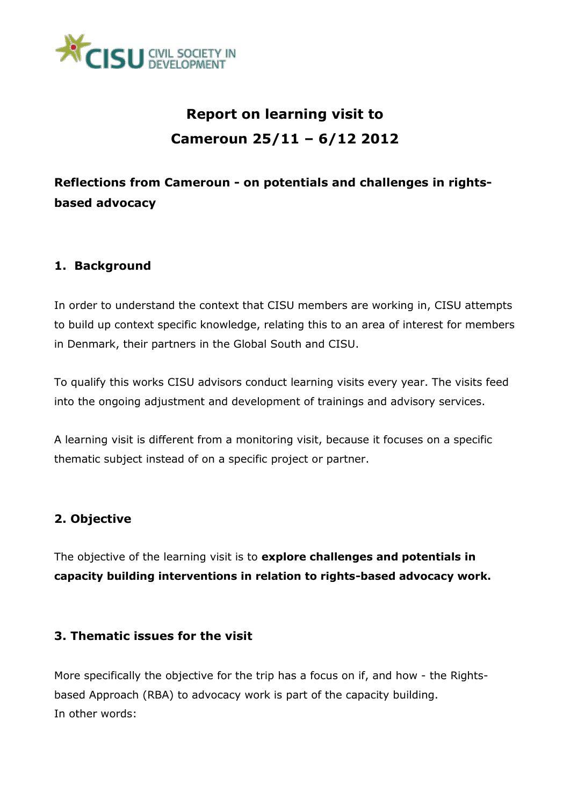

## **Report on learning visit to Cameroun 25/11 – 6/12 2012**

## **Reflections from Cameroun - on potentials and challenges in rightsbased advocacy**

### **1. Background**

In order to understand the context that CISU members are working in, CISU attempts to build up context specific knowledge, relating this to an area of interest for members in Denmark, their partners in the Global South and CISU.

To qualify this works CISU advisors conduct learning visits every year. The visits feed into the ongoing adjustment and development of trainings and advisory services.

A learning visit is different from a monitoring visit, because it focuses on a specific thematic subject instead of on a specific project or partner.

### **2. Objective**

The objective of the learning visit is to **explore challenges and potentials in capacity building interventions in relation to rights-based advocacy work.**

#### **3. Thematic issues for the visit**

More specifically the objective for the trip has a focus on if, and how - the Rightsbased Approach (RBA) to advocacy work is part of the capacity building. In other words: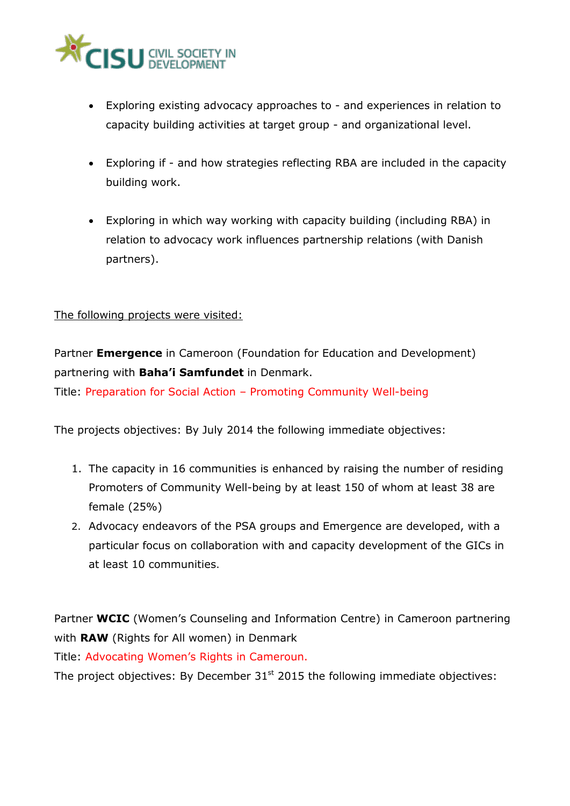

- Exploring existing advocacy approaches to and experiences in relation to capacity building activities at target group - and organizational level.
- Exploring if and how strategies reflecting RBA are included in the capacity building work.
- Exploring in which way working with capacity building (including RBA) in relation to advocacy work influences partnership relations (with Danish partners).

#### The following projects were visited:

Partner **Emergence** in Cameroon (Foundation for Education and Development) partnering with **Baha'i Samfundet** in Denmark.

Title: Preparation for Social Action – Promoting Community Well-being

The projects objectives: By July 2014 the following immediate objectives:

- 1. The capacity in 16 communities is enhanced by raising the number of residing Promoters of Community Well-being by at least 150 of whom at least 38 are female (25%)
- 2. Advocacy endeavors of the PSA groups and Emergence are developed, with a particular focus on collaboration with and capacity development of the GICs in at least 10 communities.

Partner **WCIC** (Women's Counseling and Information Centre) in Cameroon partnering with **RAW** (Rights for All women) in Denmark

Title: Advocating Women's Rights in Cameroun.

The project objectives: By December  $31<sup>st</sup>$  2015 the following immediate objectives: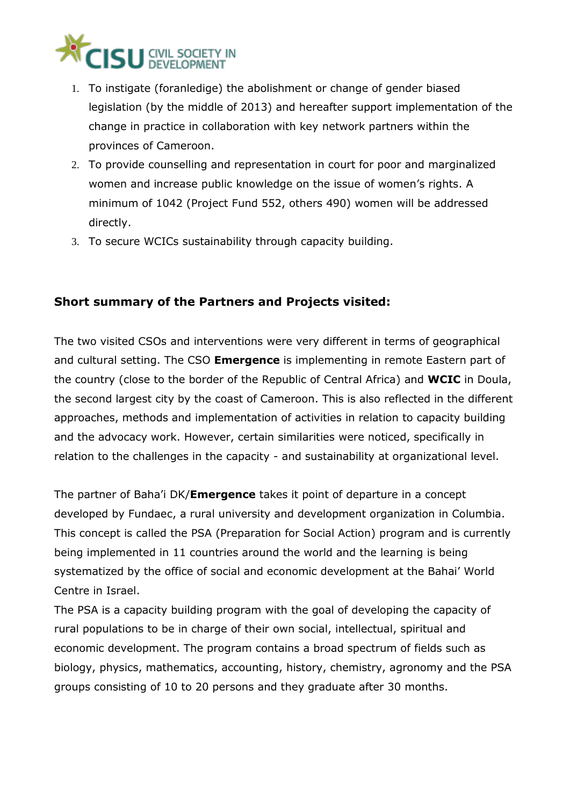

- 1. To instigate (foranledige) the abolishment or change of gender biased legislation (by the middle of 2013) and hereafter support implementation of the change in practice in collaboration with key network partners within the provinces of Cameroon.
- 2. To provide counselling and representation in court for poor and marginalized women and increase public knowledge on the issue of women's rights. A minimum of 1042 (Project Fund 552, others 490) women will be addressed directly.
- 3. To secure WCICs sustainability through capacity building.

### **Short summary of the Partners and Projects visited:**

The two visited CSOs and interventions were very different in terms of geographical and cultural setting. The CSO **Emergence** is implementing in remote Eastern part of the country (close to the border of the Republic of Central Africa) and **WCIC** in Doula, the second largest city by the coast of Cameroon. This is also reflected in the different approaches, methods and implementation of activities in relation to capacity building and the advocacy work. However, certain similarities were noticed, specifically in relation to the challenges in the capacity - and sustainability at organizational level.

The partner of Baha'i DK/**Emergence** takes it point of departure in a concept developed by Fundaec, a rural university and development organization in Columbia. This concept is called the PSA (Preparation for Social Action) program and is currently being implemented in 11 countries around the world and the learning is being systematized by the office of social and economic development at the Bahai' World Centre in Israel.

The PSA is a capacity building program with the goal of developing the capacity of rural populations to be in charge of their own social, intellectual, spiritual and economic development. The program contains a broad spectrum of fields such as biology, physics, mathematics, accounting, history, chemistry, agronomy and the PSA groups consisting of 10 to 20 persons and they graduate after 30 months.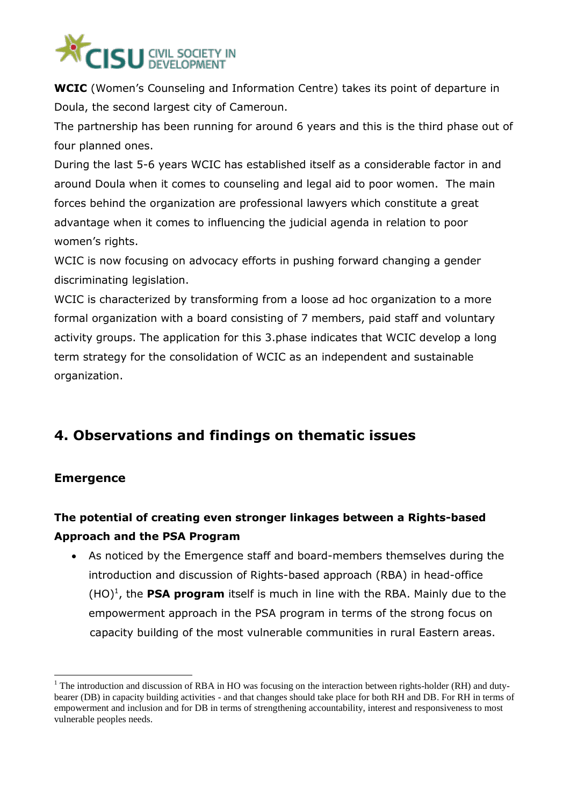

**WCIC** (Women's Counseling and Information Centre) takes its point of departure in Doula, the second largest city of Cameroun.

The partnership has been running for around 6 years and this is the third phase out of four planned ones.

During the last 5-6 years WCIC has established itself as a considerable factor in and around Doula when it comes to counseling and legal aid to poor women. The main forces behind the organization are professional lawyers which constitute a great advantage when it comes to influencing the judicial agenda in relation to poor women's rights.

WCIC is now focusing on advocacy efforts in pushing forward changing a gender discriminating legislation.

WCIC is characterized by transforming from a loose ad hoc organization to a more formal organization with a board consisting of 7 members, paid staff and voluntary activity groups. The application for this 3.phase indicates that WCIC develop a long term strategy for the consolidation of WCIC as an independent and sustainable organization.

## **4. Observations and findings on thematic issues**

### **Emergence**

1

## **The potential of creating even stronger linkages between a Rights-based Approach and the PSA Program**

 As noticed by the Emergence staff and board-members themselves during the introduction and discussion of Rights-based approach (RBA) in head-office  $(HO)<sup>1</sup>$ , the **PSA program** itself is much in line with the RBA. Mainly due to the empowerment approach in the PSA program in terms of the strong focus on capacity building of the most vulnerable communities in rural Eastern areas.

<sup>&</sup>lt;sup>1</sup> The introduction and discussion of RBA in HO was focusing on the interaction between rights-holder (RH) and dutybearer (DB) in capacity building activities - and that changes should take place for both RH and DB. For RH in terms of empowerment and inclusion and for DB in terms of strengthening accountability, interest and responsiveness to most vulnerable peoples needs.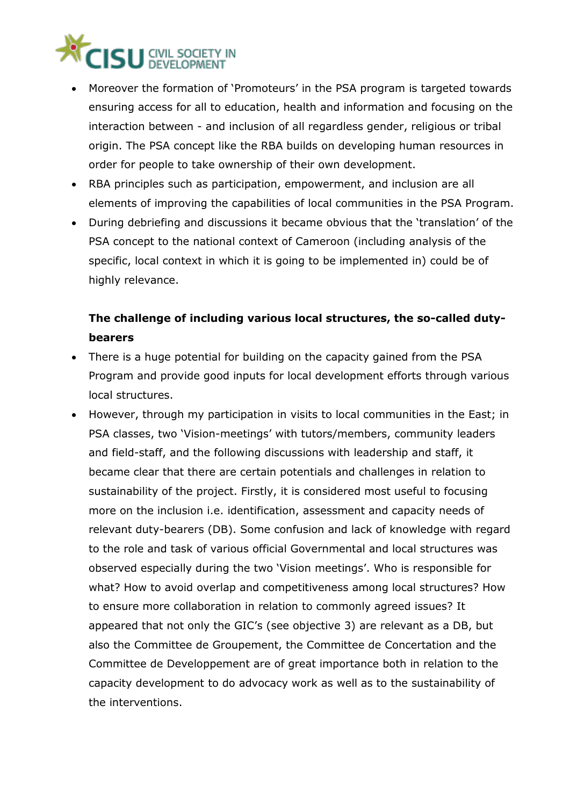# **CISU** CIVIL SOCIET

- Moreover the formation of 'Promoteurs' in the PSA program is targeted towards ensuring access for all to education, health and information and focusing on the interaction between - and inclusion of all regardless gender, religious or tribal origin. The PSA concept like the RBA builds on developing human resources in order for people to take ownership of their own development.
- RBA principles such as participation, empowerment, and inclusion are all elements of improving the capabilities of local communities in the PSA Program.
- During debriefing and discussions it became obvious that the 'translation' of the PSA concept to the national context of Cameroon (including analysis of the specific, local context in which it is going to be implemented in) could be of highly relevance.

## **The challenge of including various local structures, the so-called dutybearers**

- There is a huge potential for building on the capacity gained from the PSA Program and provide good inputs for local development efforts through various local structures.
- However, through my participation in visits to local communities in the East; in PSA classes, two 'Vision-meetings' with tutors/members, community leaders and field-staff, and the following discussions with leadership and staff, it became clear that there are certain potentials and challenges in relation to sustainability of the project. Firstly, it is considered most useful to focusing more on the inclusion i.e. identification, assessment and capacity needs of relevant duty-bearers (DB). Some confusion and lack of knowledge with regard to the role and task of various official Governmental and local structures was observed especially during the two 'Vision meetings'. Who is responsible for what? How to avoid overlap and competitiveness among local structures? How to ensure more collaboration in relation to commonly agreed issues? It appeared that not only the GIC's (see objective 3) are relevant as a DB, but also the Committee de Groupement, the Committee de Concertation and the Committee de Developpement are of great importance both in relation to the capacity development to do advocacy work as well as to the sustainability of the interventions.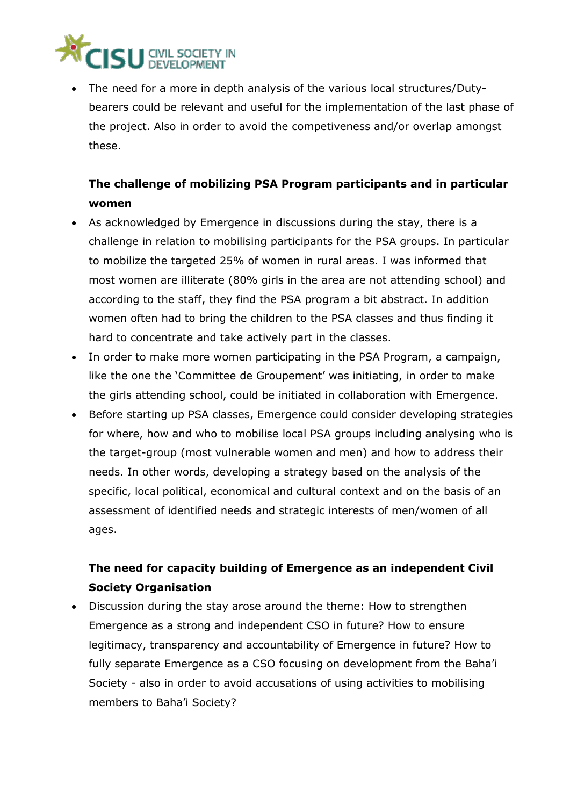

 The need for a more in depth analysis of the various local structures/Dutybearers could be relevant and useful for the implementation of the last phase of the project. Also in order to avoid the competiveness and/or overlap amongst these.

### **The challenge of mobilizing PSA Program participants and in particular women**

- As acknowledged by Emergence in discussions during the stay, there is a challenge in relation to mobilising participants for the PSA groups. In particular to mobilize the targeted 25% of women in rural areas. I was informed that most women are illiterate (80% girls in the area are not attending school) and according to the staff, they find the PSA program a bit abstract. In addition women often had to bring the children to the PSA classes and thus finding it hard to concentrate and take actively part in the classes.
- In order to make more women participating in the PSA Program, a campaign, like the one the 'Committee de Groupement' was initiating, in order to make the girls attending school, could be initiated in collaboration with Emergence.
- Before starting up PSA classes, Emergence could consider developing strategies for where, how and who to mobilise local PSA groups including analysing who is the target-group (most vulnerable women and men) and how to address their needs. In other words, developing a strategy based on the analysis of the specific, local political, economical and cultural context and on the basis of an assessment of identified needs and strategic interests of men/women of all ages.

## **The need for capacity building of Emergence as an independent Civil Society Organisation**

 Discussion during the stay arose around the theme: How to strengthen Emergence as a strong and independent CSO in future? How to ensure legitimacy, transparency and accountability of Emergence in future? How to fully separate Emergence as a CSO focusing on development from the Baha'i Society - also in order to avoid accusations of using activities to mobilising members to Baha'i Society?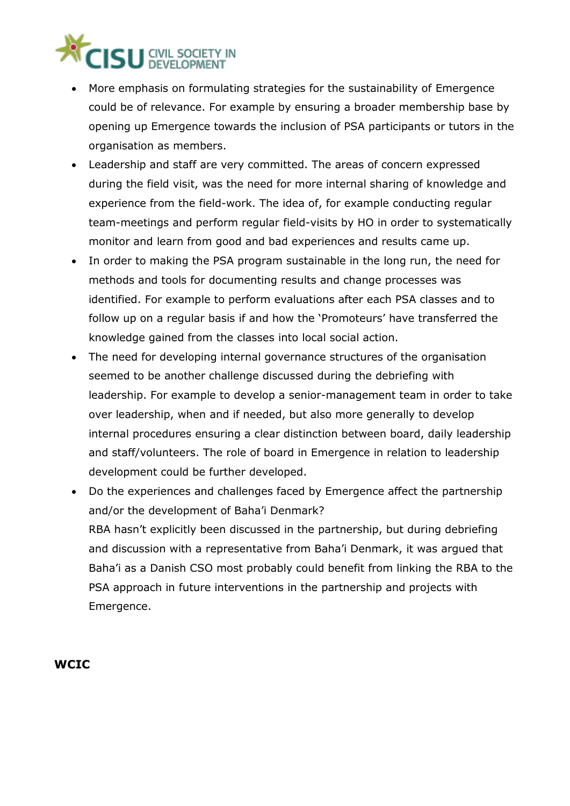

- More emphasis on formulating strategies for the sustainability of Emergence could be of relevance. For example by ensuring a broader membership base by opening up Emergence towards the inclusion of PSA participants or tutors in the organisation as members.
- Leadership and staff are very committed. The areas of concern expressed during the field visit, was the need for more internal sharing of knowledge and experience from the field-work. The idea of, for example conducting regular team-meetings and perform regular field-visits by HO in order to systematically monitor and learn from good and bad experiences and results came up.
- In order to making the PSA program sustainable in the long run, the need for methods and tools for documenting results and change processes was identified. For example to perform evaluations after each PSA classes and to follow up on a regular basis if and how the 'Promoteurs' have transferred the knowledge gained from the classes into local social action.
- The need for developing internal governance structures of the organisation seemed to be another challenge discussed during the debriefing with leadership. For example to develop a senior-management team in order to take over leadership, when and if needed, but also more generally to develop internal procedures ensuring a clear distinction between board, daily leadership and staff/volunteers. The role of board in Emergence in relation to leadership development could be further developed.
- Do the experiences and challenges faced by Emergence affect the partnership and/or the development of Baha'i Denmark? RBA hasn't explicitly been discussed in the partnership, but during debriefing and discussion with a representative from Baha'i Denmark, it was argued that Baha'i as a Danish CSO most probably could benefit from linking the RBA to the PSA approach in future interventions in the partnership and projects with Emergence.

#### **WCIC**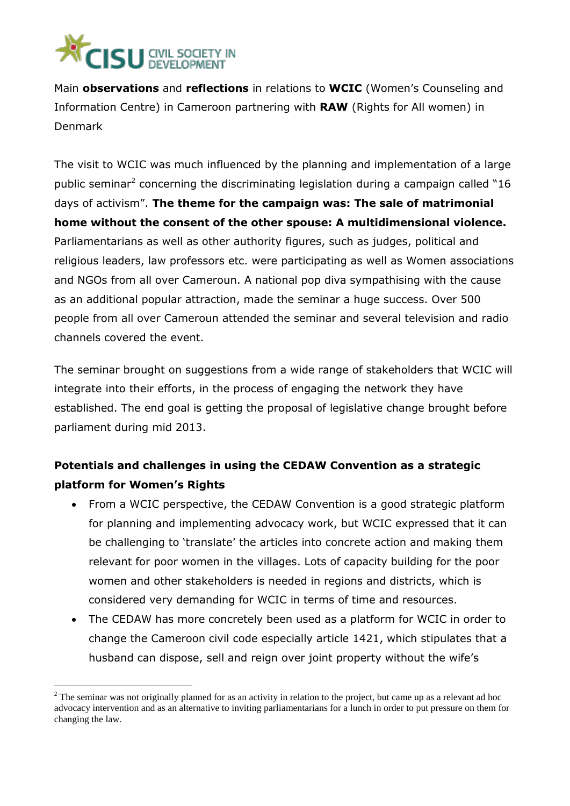

1

Main **observations** and **reflections** in relations to **WCIC** (Women's Counseling and Information Centre) in Cameroon partnering with **RAW** (Rights for All women) in Denmark

The visit to WCIC was much influenced by the planning and implementation of a large public seminar<sup>2</sup> concerning the discriminating legislation during a campaign called "16 days of activism". **The theme for the campaign was: The sale of matrimonial home without the consent of the other spouse: A multidimensional violence.** Parliamentarians as well as other authority figures, such as judges, political and religious leaders, law professors etc. were participating as well as Women associations and NGOs from all over Cameroun. A national pop diva sympathising with the cause as an additional popular attraction, made the seminar a huge success. Over 500 people from all over Cameroun attended the seminar and several television and radio channels covered the event.

The seminar brought on suggestions from a wide range of stakeholders that WCIC will integrate into their efforts, in the process of engaging the network they have established. The end goal is getting the proposal of legislative change brought before parliament during mid 2013.

## **Potentials and challenges in using the CEDAW Convention as a strategic platform for Women's Rights**

- From a WCIC perspective, the CEDAW Convention is a good strategic platform for planning and implementing advocacy work, but WCIC expressed that it can be challenging to 'translate' the articles into concrete action and making them relevant for poor women in the villages. Lots of capacity building for the poor women and other stakeholders is needed in regions and districts, which is considered very demanding for WCIC in terms of time and resources.
- The CEDAW has more concretely been used as a platform for WCIC in order to change the Cameroon civil code especially article 1421, which stipulates that a husband can dispose, sell and reign over joint property without the wife's

 $2$  The seminar was not originally planned for as an activity in relation to the project, but came up as a relevant ad hoc advocacy intervention and as an alternative to inviting parliamentarians for a lunch in order to put pressure on them for changing the law.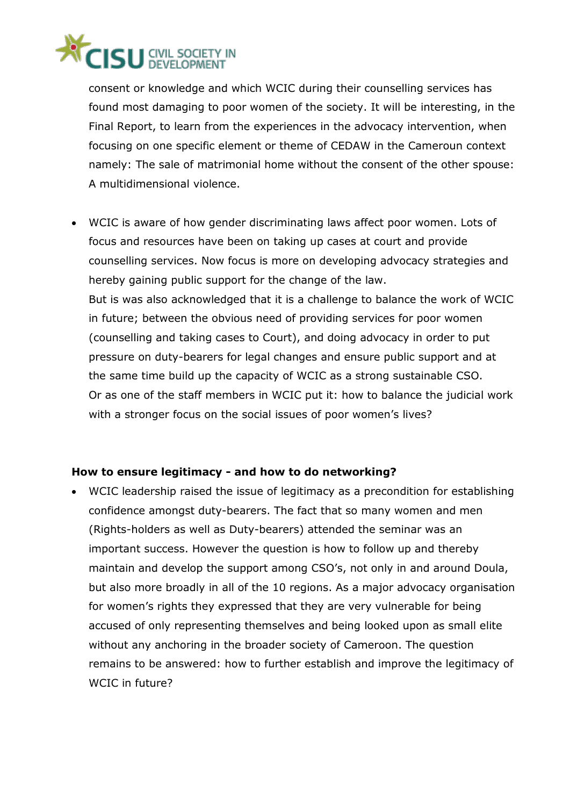## **ISU** CIVIL SOCIETY

consent or knowledge and which WCIC during their counselling services has found most damaging to poor women of the society. It will be interesting, in the Final Report, to learn from the experiences in the advocacy intervention, when focusing on one specific element or theme of CEDAW in the Cameroun context namely: The sale of matrimonial home without the consent of the other spouse: A multidimensional violence.

 WCIC is aware of how gender discriminating laws affect poor women. Lots of focus and resources have been on taking up cases at court and provide counselling services. Now focus is more on developing advocacy strategies and hereby gaining public support for the change of the law. But is was also acknowledged that it is a challenge to balance the work of WCIC in future; between the obvious need of providing services for poor women (counselling and taking cases to Court), and doing advocacy in order to put pressure on duty-bearers for legal changes and ensure public support and at the same time build up the capacity of WCIC as a strong sustainable CSO. Or as one of the staff members in WCIC put it: how to balance the judicial work with a stronger focus on the social issues of poor women's lives?

#### **How to ensure legitimacy - and how to do networking?**

 WCIC leadership raised the issue of legitimacy as a precondition for establishing confidence amongst duty-bearers. The fact that so many women and men (Rights-holders as well as Duty-bearers) attended the seminar was an important success. However the question is how to follow up and thereby maintain and develop the support among CSO's, not only in and around Doula, but also more broadly in all of the 10 regions. As a major advocacy organisation for women's rights they expressed that they are very vulnerable for being accused of only representing themselves and being looked upon as small elite without any anchoring in the broader society of Cameroon. The question remains to be answered: how to further establish and improve the legitimacy of WCIC in future?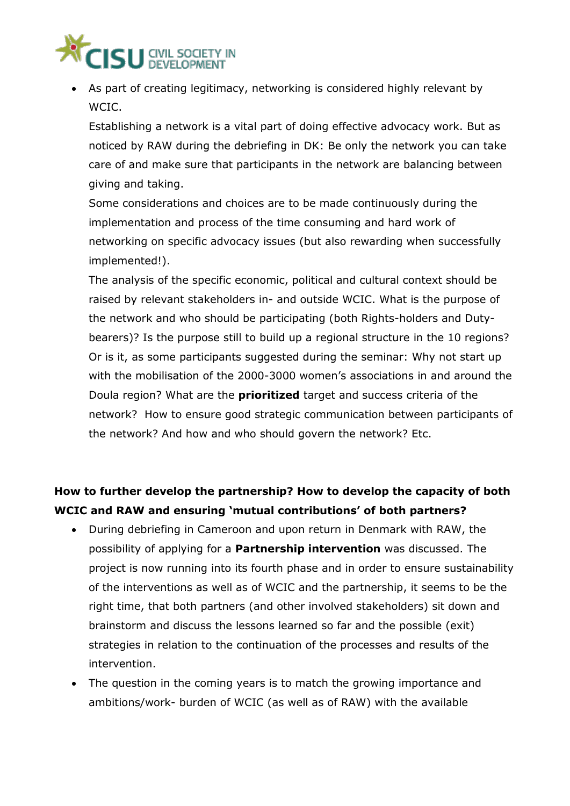

 As part of creating legitimacy, networking is considered highly relevant by WCIC.

Establishing a network is a vital part of doing effective advocacy work. But as noticed by RAW during the debriefing in DK: Be only the network you can take care of and make sure that participants in the network are balancing between giving and taking.

Some considerations and choices are to be made continuously during the implementation and process of the time consuming and hard work of networking on specific advocacy issues (but also rewarding when successfully implemented!).

The analysis of the specific economic, political and cultural context should be raised by relevant stakeholders in- and outside WCIC. What is the purpose of the network and who should be participating (both Rights-holders and Dutybearers)? Is the purpose still to build up a regional structure in the 10 regions? Or is it, as some participants suggested during the seminar: Why not start up with the mobilisation of the 2000-3000 women's associations in and around the Doula region? What are the **prioritized** target and success criteria of the network? How to ensure good strategic communication between participants of the network? And how and who should govern the network? Etc.

## **How to further develop the partnership? How to develop the capacity of both WCIC and RAW and ensuring 'mutual contributions' of both partners?**

- During debriefing in Cameroon and upon return in Denmark with RAW, the possibility of applying for a **Partnership intervention** was discussed. The project is now running into its fourth phase and in order to ensure sustainability of the interventions as well as of WCIC and the partnership, it seems to be the right time, that both partners (and other involved stakeholders) sit down and brainstorm and discuss the lessons learned so far and the possible (exit) strategies in relation to the continuation of the processes and results of the intervention.
- The question in the coming years is to match the growing importance and ambitions/work- burden of WCIC (as well as of RAW) with the available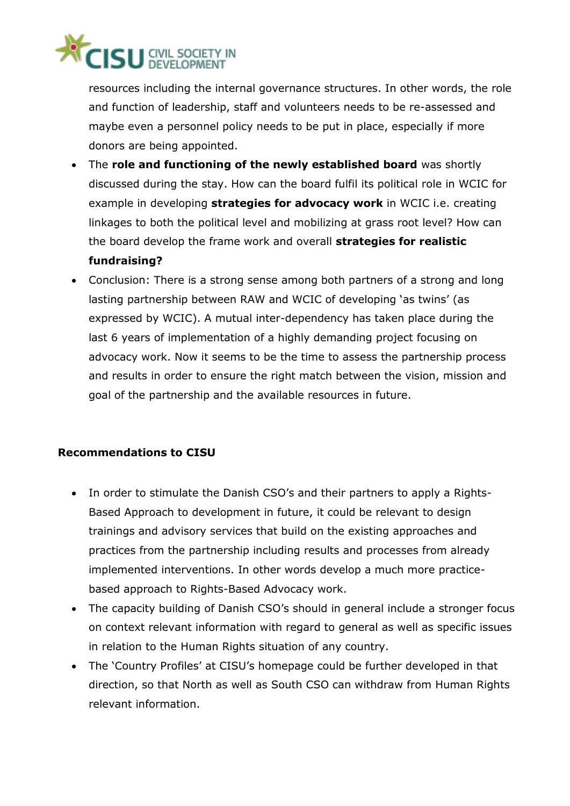## **ISU** CIVIL SOCIET

resources including the internal governance structures. In other words, the role and function of leadership, staff and volunteers needs to be re-assessed and maybe even a personnel policy needs to be put in place, especially if more donors are being appointed.

- The **role and functioning of the newly established board** was shortly discussed during the stay. How can the board fulfil its political role in WCIC for example in developing **strategies for advocacy work** in WCIC i.e. creating linkages to both the political level and mobilizing at grass root level? How can the board develop the frame work and overall **strategies for realistic fundraising?**
- Conclusion: There is a strong sense among both partners of a strong and long lasting partnership between RAW and WCIC of developing 'as twins' (as expressed by WCIC). A mutual inter-dependency has taken place during the last 6 years of implementation of a highly demanding project focusing on advocacy work. Now it seems to be the time to assess the partnership process and results in order to ensure the right match between the vision, mission and goal of the partnership and the available resources in future.

#### **Recommendations to CISU**

- In order to stimulate the Danish CSO's and their partners to apply a Rights-Based Approach to development in future, it could be relevant to design trainings and advisory services that build on the existing approaches and practices from the partnership including results and processes from already implemented interventions. In other words develop a much more practicebased approach to Rights-Based Advocacy work.
- The capacity building of Danish CSO's should in general include a stronger focus on context relevant information with regard to general as well as specific issues in relation to the Human Rights situation of any country.
- The 'Country Profiles' at CISU's homepage could be further developed in that direction, so that North as well as South CSO can withdraw from Human Rights relevant information.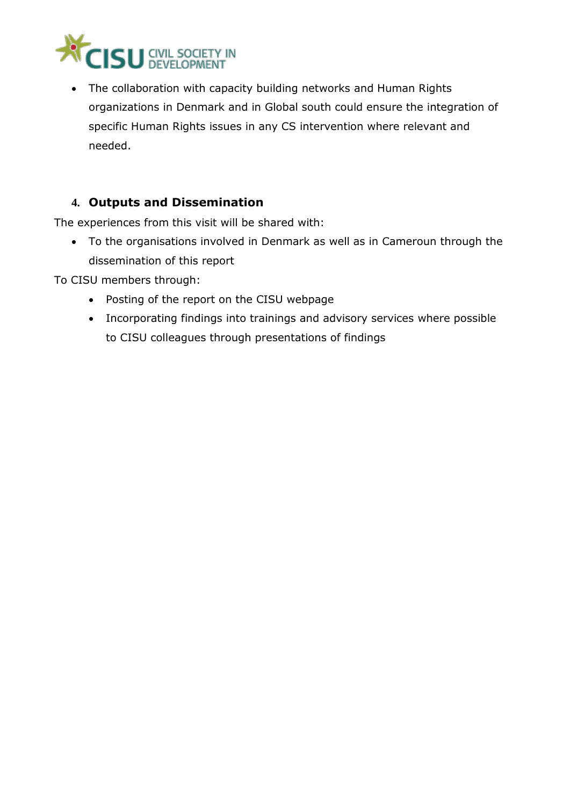

 The collaboration with capacity building networks and Human Rights organizations in Denmark and in Global south could ensure the integration of specific Human Rights issues in any CS intervention where relevant and needed.

### **4. Outputs and Dissemination**

The experiences from this visit will be shared with:

 To the organisations involved in Denmark as well as in Cameroun through the dissemination of this report

To CISU members through:

- Posting of the report on the CISU webpage
- Incorporating findings into trainings and advisory services where possible to CISU colleagues through presentations of findings